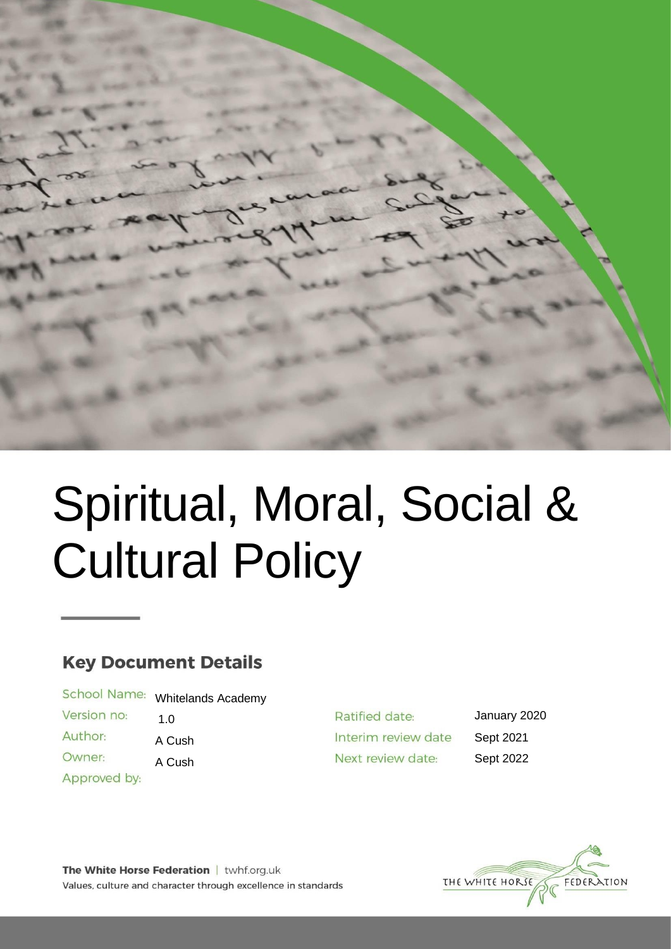

# Spiritual, Moral, Social & Cultural Policy

# **Key Document Details**

School Name: Whitelands Academy

Version no: 1.0

Author: A Cush

Owner:

Approved by:

A Cush

Ratified date: Interim review date Next review date:

January 2020 Sept 2021 Sept 2022

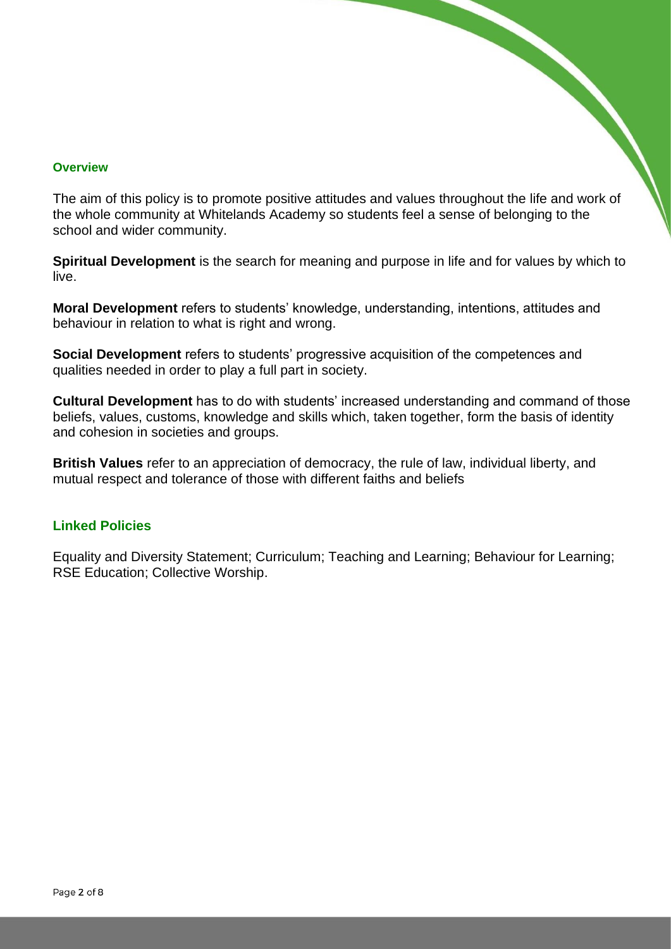#### **Overview**

The aim of this policy is to promote positive attitudes and values throughout the life and work of the whole community at Whitelands Academy so students feel a sense of belonging to the school and wider community.

**Spiritual Development** is the search for meaning and purpose in life and for values by which to live.

**Moral Development** refers to students' knowledge, understanding, intentions, attitudes and behaviour in relation to what is right and wrong.

**Social Development** refers to students' progressive acquisition of the competences and qualities needed in order to play a full part in society.

**Cultural Development** has to do with students' increased understanding and command of those beliefs, values, customs, knowledge and skills which, taken together, form the basis of identity and cohesion in societies and groups.

**British Values** refer to an appreciation of democracy, the rule of law, individual liberty, and mutual respect and tolerance of those with different faiths and beliefs

#### **Linked Policies**

Equality and Diversity Statement; Curriculum; Teaching and Learning; Behaviour for Learning; RSE Education; Collective Worship.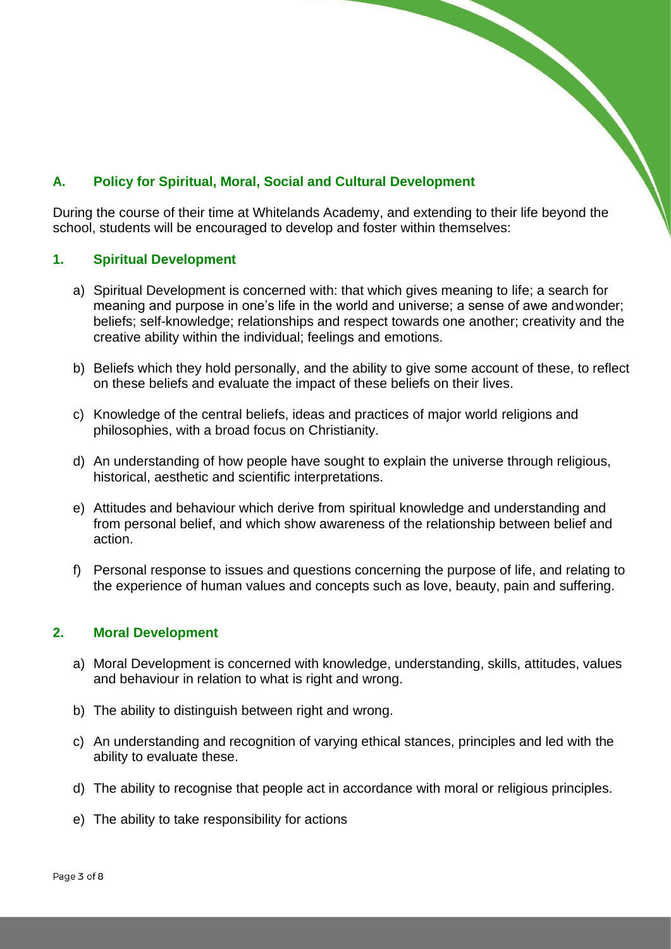### **A. Policy for Spiritual, Moral, Social and Cultural Development**

During the course of their time at Whitelands Academy, and extending to their life beyond the school, students will be encouraged to develop and foster within themselves:

#### **1. Spiritual Development**

- a) Spiritual Development is concerned with: that which gives meaning to life; a search for meaning and purpose in one's life in the world and universe; a sense of awe andwonder; beliefs; self-knowledge; relationships and respect towards one another; creativity and the creative ability within the individual; feelings and emotions.
- b) Beliefs which they hold personally, and the ability to give some account of these, to reflect on these beliefs and evaluate the impact of these beliefs on their lives.
- c) Knowledge of the central beliefs, ideas and practices of major world religions and philosophies, with a broad focus on Christianity.
- d) An understanding of how people have sought to explain the universe through religious, historical, aesthetic and scientific interpretations.
- e) Attitudes and behaviour which derive from spiritual knowledge and understanding and from personal belief, and which show awareness of the relationship between belief and action.
- f) Personal response to issues and questions concerning the purpose of life, and relating to the experience of human values and concepts such as love, beauty, pain and suffering.

#### **2. Moral Development**

- a) Moral Development is concerned with knowledge, understanding, skills, attitudes, values and behaviour in relation to what is right and wrong.
- b) The ability to distinguish between right and wrong.
- c) An understanding and recognition of varying ethical stances, principles and led with the ability to evaluate these.
- d) The ability to recognise that people act in accordance with moral or religious principles.
- e) The ability to take responsibility for actions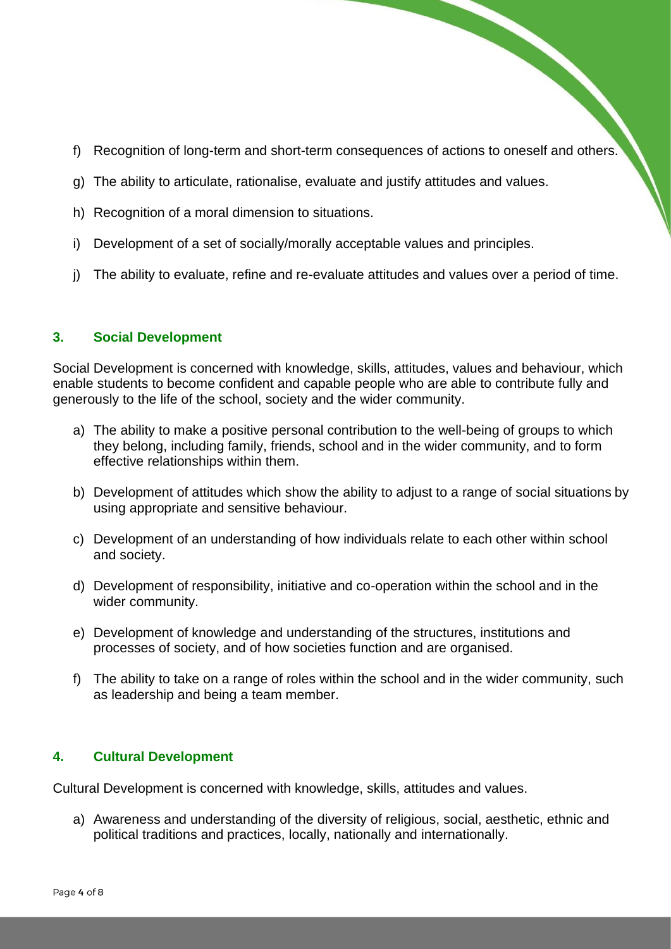- f) Recognition of long-term and short-term consequences of actions to oneself and others.
- g) The ability to articulate, rationalise, evaluate and justify attitudes and values.
- h) Recognition of a moral dimension to situations.
- i) Development of a set of socially/morally acceptable values and principles.
- j) The ability to evaluate, refine and re-evaluate attitudes and values over a period of time.

#### **3. Social Development**

Social Development is concerned with knowledge, skills, attitudes, values and behaviour, which enable students to become confident and capable people who are able to contribute fully and generously to the life of the school, society and the wider community.

- a) The ability to make a positive personal contribution to the well-being of groups to which they belong, including family, friends, school and in the wider community, and to form effective relationships within them.
- b) Development of attitudes which show the ability to adjust to a range of social situations by using appropriate and sensitive behaviour.
- c) Development of an understanding of how individuals relate to each other within school and society.
- d) Development of responsibility, initiative and co-operation within the school and in the wider community.
- e) Development of knowledge and understanding of the structures, institutions and processes of society, and of how societies function and are organised.
- f) The ability to take on a range of roles within the school and in the wider community, such as leadership and being a team member.

#### **4. Cultural Development**

Cultural Development is concerned with knowledge, skills, attitudes and values.

a) Awareness and understanding of the diversity of religious, social, aesthetic, ethnic and political traditions and practices, locally, nationally and internationally.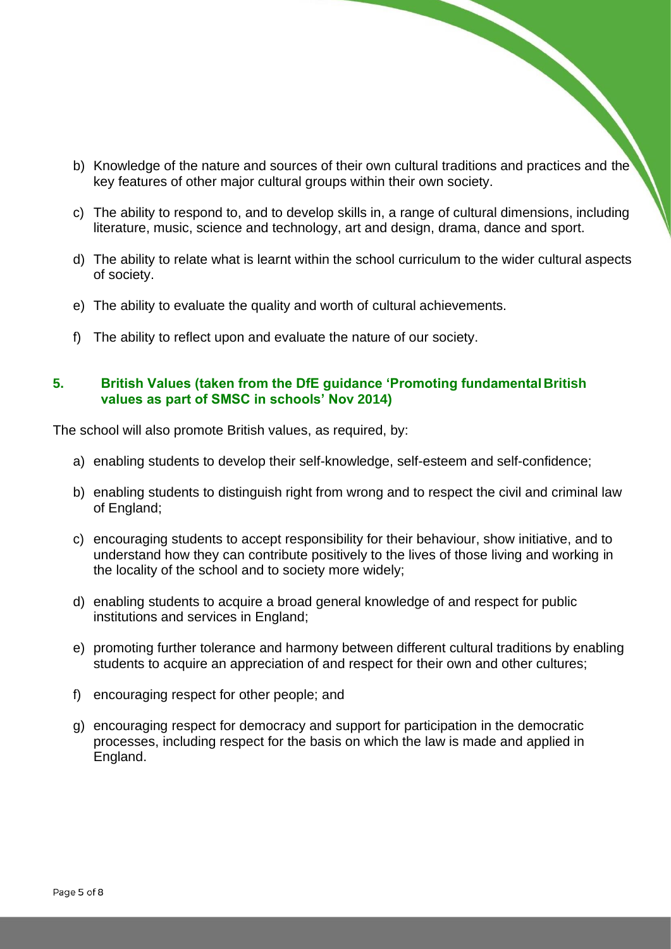- b) Knowledge of the nature and sources of their own cultural traditions and practices and the key features of other major cultural groups within their own society.
- c) The ability to respond to, and to develop skills in, a range of cultural dimensions, including literature, music, science and technology, art and design, drama, dance and sport.
- d) The ability to relate what is learnt within the school curriculum to the wider cultural aspects of society.
- e) The ability to evaluate the quality and worth of cultural achievements.
- f) The ability to reflect upon and evaluate the nature of our society.

#### **5. British Values (taken from the DfE guidance 'Promoting fundamental British values as part of SMSC in schools' Nov 2014)**

The school will also promote British values, as required, by:

- a) enabling students to develop their self-knowledge, self-esteem and self-confidence;
- b) enabling students to distinguish right from wrong and to respect the civil and criminal law of England;
- c) encouraging students to accept responsibility for their behaviour, show initiative, and to understand how they can contribute positively to the lives of those living and working in the locality of the school and to society more widely;
- d) enabling students to acquire a broad general knowledge of and respect for public institutions and services in England;
- e) promoting further tolerance and harmony between different cultural traditions by enabling students to acquire an appreciation of and respect for their own and other cultures;
- f) encouraging respect for other people; and
- g) encouraging respect for democracy and support for participation in the democratic processes, including respect for the basis on which the law is made and applied in England.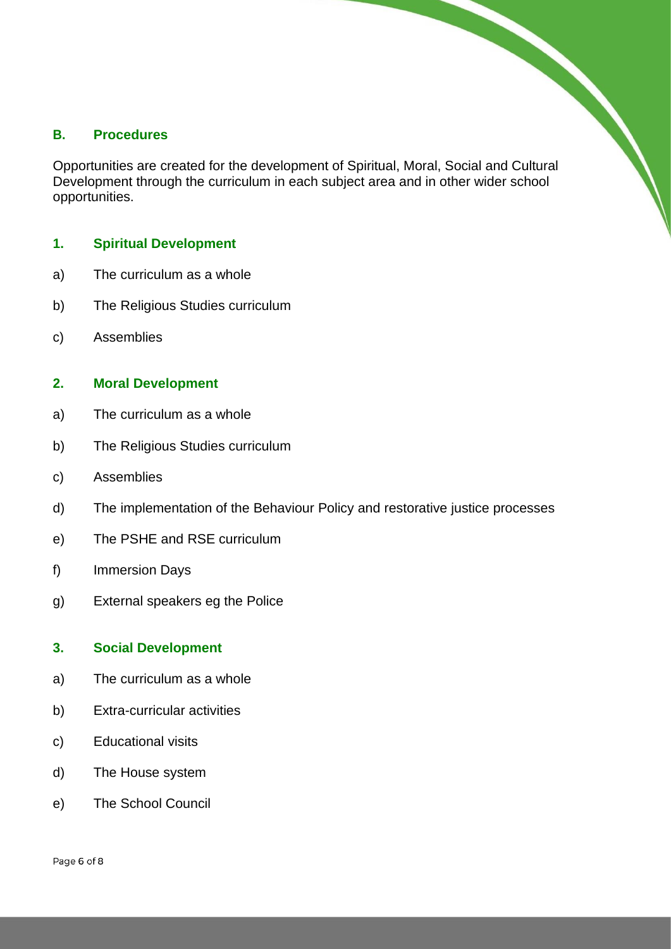#### **B. Procedures**

B. Procedures<br>
Opportunities are created for the development of Spiritual, Moral, Social and Cultural Development through the curriculum in each subject area and in other wider school opportunities.

#### **1. Spiritual Development**

- a) The curriculum as a whole
- b) The Religious Studies curriculum
- c) Assemblies

#### **2. Moral Development**

- a) The curriculum as a whole
- b) The Religious Studies curriculum
- c) Assemblies
- d) The implementation of the Behaviour Policy and restorative justice processes
- e) The PSHE and RSE curriculum
- f) Immersion Days
- g) External speakers eg the Police

#### **3. Social Development**

- a) The curriculum as a whole
- b) Extra-curricular activities
- c) Educational visits
- d) The House system
- e) The School Council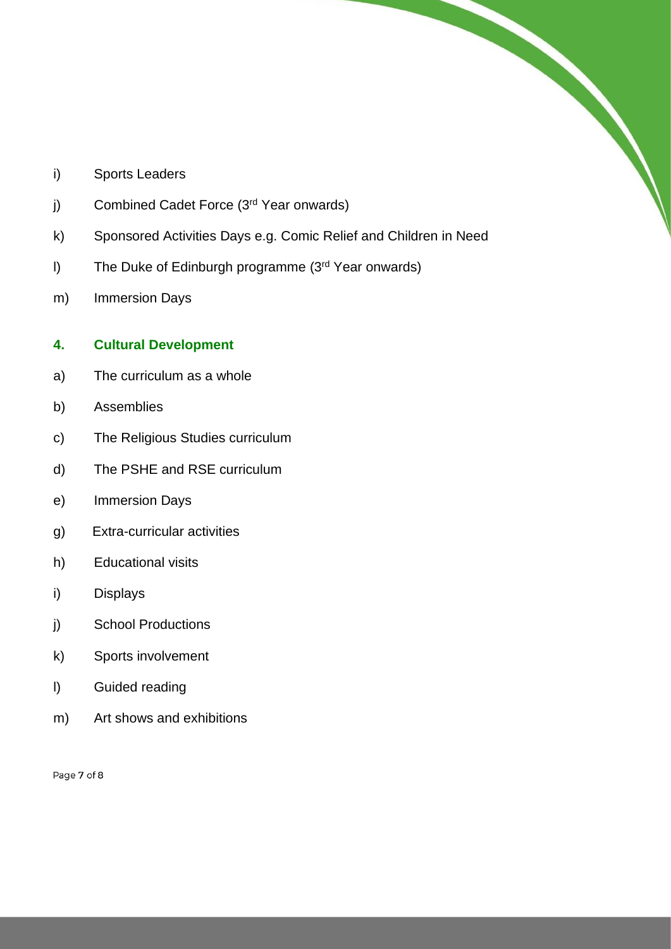- i) Sports Leaders
- j) Combined Cadet Force (3<sup>rd</sup> Year onwards)
- k) Sponsored Activities Days e.g. Comic Relief and Children in Need

- l) The Duke of Edinburgh programme (3rd Year onwards)
- m) Immersion Days

#### **4. Cultural Development**

- a) The curriculum as a whole
- b) Assemblies
- c) The Religious Studies curriculum
- d) The PSHE and RSE curriculum
- e) Immersion Days
- g) Extra-curricular activities
- h) Educational visits
- i) Displays
- j) School Productions
- k) Sports involvement
- l) Guided reading
- m) Art shows and exhibitions

Page 7 of 8